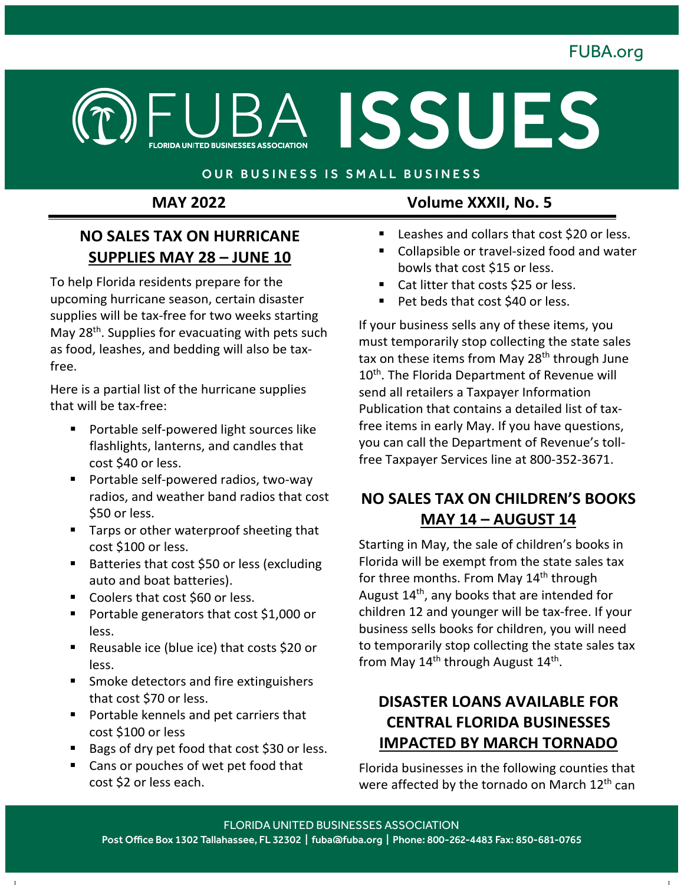

#### OUR BUSINESS IS SMALL BUSINESS

#### **NO SALES TAX ON HURRICANE SUPPLIES MAY 28 – JUNE 10**

To help Florida residents prepare for the upcoming hurricane season, certain disaster supplies will be tax-free for two weeks starting May 28<sup>th</sup>. Supplies for evacuating with pets such as food, leashes, and bedding will also be taxfree.

Here is a partial list of the hurricane supplies that will be tax-free:

- **Portable self-powered light sources like** flashlights, lanterns, and candles that cost \$40 or less.
- **Portable self-powered radios, two-way** radios, and weather band radios that cost \$50 or less.
- Tarps or other waterproof sheeting that cost \$100 or less.
- Batteries that cost \$50 or less (excluding auto and boat batteries).
- Coolers that cost \$60 or less.
- **Portable generators that cost \$1,000 or** less.
- Reusable ice (blue ice) that costs \$20 or less.
- **Smoke detectors and fire extinguishers** that cost \$70 or less.
- **Portable kennels and pet carriers that** cost \$100 or less
- Bags of dry pet food that cost \$30 or less.
- Cans or pouches of wet pet food that cost \$2 or less each.

### **MAY 2022 Volume XXXII, No. 5**

ISSUES

- Leashes and collars that cost \$20 or less.
- Collapsible or travel-sized food and water bowls that cost \$15 or less.
- Cat litter that costs \$25 or less.
- Pet beds that cost \$40 or less.

If your business sells any of these items, you must temporarily stop collecting the state sales tax on these items from May 28<sup>th</sup> through June 10<sup>th</sup>. The Florida Department of Revenue will send all retailers a Taxpayer Information Publication that contains a detailed list of taxfree items in early May. If you have questions, you can call the Department of Revenue's tollfree Taxpayer Services line at 800-352-3671.

### **NO SALES TAX ON CHILDREN'S BOOKS MAY 14 – AUGUST 14**

Starting in May, the sale of children's books in Florida will be exempt from the state sales tax for three months. From May 14<sup>th</sup> through August  $14<sup>th</sup>$ , any books that are intended for children 12 and younger will be tax-free. If your business sells books for children, you will need to temporarily stop collecting the state sales tax from May  $14<sup>th</sup>$  through August  $14<sup>th</sup>$ .

### **DISASTER LOANS AVAILABLE FOR CENTRAL FLORIDA BUSINESSES IMPACTED BY MARCH TORNADO**

Florida businesses in the following counties that were affected by the tornado on March 12<sup>th</sup> can